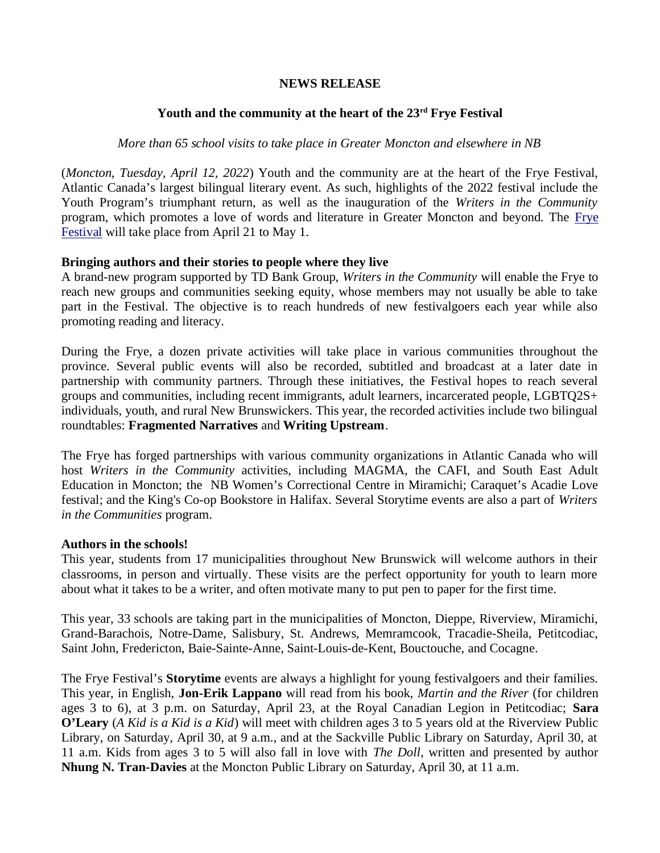## **NEWS RELEASE**

# **Youth and the community at the heart of the 23rd Frye Festival**

# *More than 65 school visits to take place in Greater Moncton and elsewhere in NB*

(*Moncton, Tuesday, April 12, 2022*) Youth and the community are at the heart of the Frye Festival, Atlantic Canada's largest bilingual literary event. As such, highlights of the 2022 festival include the Youth Program's triumphant return, as well as the inauguration of the *Writers in the Community* program, which promotes a love of words and literature in Greater Moncton and beyond. The Frye Festival will take place from April 21 to May 1.

## **Bringing authors and their stories to people where they live**

A brand-new program supported by TD Bank Group, *Writers in the Community* will enable the Frye to reach new groups and communities seeking equity, whose members may not usually be able to take part in the Festival. The objective is to reach hundreds of new festivalgoers each year while also promoting reading and literacy.

During the Frye, a dozen private activities will take place in various communities throughout the province. Several public events will also be recorded, subtitled and broadcast at a later date in partnership with community partners. Through these initiatives, the Festival hopes to reach several groups and communities, including recent immigrants, adult learners, incarcerated people, LGBTQ2S+ individuals, youth, and rural New Brunswickers. This year, the recorded activities include two bilingual roundtables: **Fragmented Narratives** and **Writing Upstream**.

The Frye has forged partnerships with various community organizations in Atlantic Canada who will host *Writers in the Community* activities, including MAGMA, the CAFI, and South East Adult Education in Moncton; the NB Women's Correctional Centre in Miramichi; Caraquet's Acadie Love festival; and the King's Co-op Bookstore in Halifax. Several Storytime events are also a part of *Writers in the Communities* program.

## **Authors in the schools!**

This year, students from 17 municipalities throughout New Brunswick will welcome authors in their classrooms, in person and virtually. These visits are the perfect opportunity for youth to learn more about what it takes to be a writer, and often motivate many to put pen to paper for the first time.

This year, 33 schools are taking part in the municipalities of Moncton, Dieppe, Riverview, Miramichi, Grand-Barachois, Notre-Dame, Salisbury, St. Andrews, Memramcook, Tracadie-Sheila, Petitcodiac, Saint John, Fredericton, Baie-Sainte-Anne, Saint-Louis-de-Kent, Bouctouche, and Cocagne.

The Frye Festival's **Storytime** events are always a highlight for young festivalgoers and their families. This year, in English, **Jon-Erik Lappano** will read from his book, *Martin and the River* (for children ages 3 to 6), at 3 p.m. on Saturday, April 23, at the Royal Canadian Legion in Petitcodiac; **Sara O'Leary** (*A Kid is a Kid is a Kid*) will meet with children ages 3 to 5 years old at the Riverview Public Library, on Saturday, April 30, at 9 a.m., and at the Sackville Public Library on Saturday, April 30, at 11 a.m. Kids from ages 3 to 5 will also fall in love with *The Doll*, written and presented by author **Nhung N. Tran-Davies** at the Moncton Public Library on Saturday, April 30, at 11 a.m.